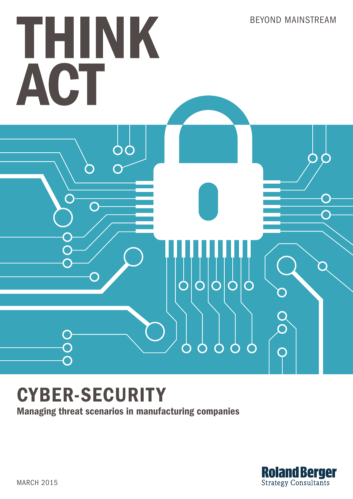

# CYBER-SECURITY

Managing threat scenarios in manufacturing companies

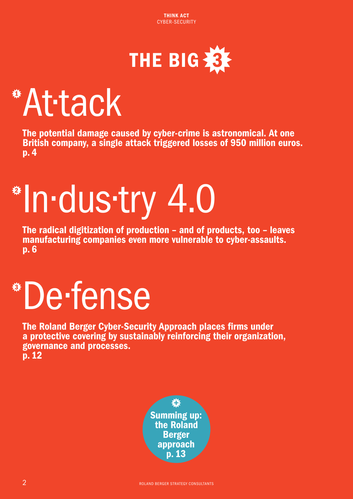

# <span id="page-1-0"></span>[1](#page-3-0) At·tack

The potential damage caused by cyber-crime is astronomical. At one British company, a single attack triggered losses of 950 million euros. p. 4

# [2](#page-5-0) In·dus·try 4.0

The radical digitization of production – and of products, too – leaves manufacturing companies even more vulnerable to cyber-assaults. p. 6

# [3](#page-11-0) De·fense

The Roland Berger Cyber-Security Approach places firms under a protective covering by sustainably reinforcing their organization, governance and processes. p. 12

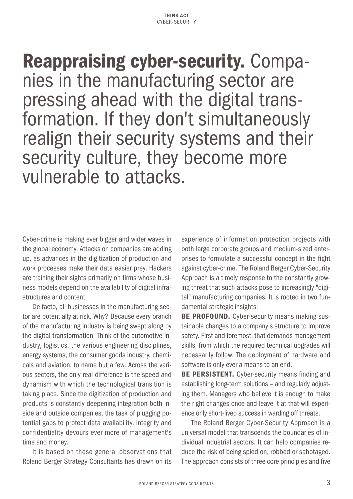**Reappraising cyber-security.** Compa-<br>nies in the manufacturing sector are pressing ahead with the digital transformation. If they don't simultaneously realign their security systems and their security culture, they become more vulnerable to attacks.

Cyber-crime is making ever bigger and wider waves in the global economy. Attacks on companies are adding up, as advances in the digitization of production and work processes make their data easier prey. Hackers are training their sights primarily on firms whose business models depend on the availability of digital infrastructures and content.

De facto, all businesses in the manufacturing sector are potentially at risk. Why? Because every branch of the manufacturing industry is being swept along by the digital transformation. Think of the automotive industry, logistics, the various engineering disciplines, energy systems, the consumer goods industry, chemicals and aviation, to name but a few. Across the various sectors, the only real difference is the speed and dynamism with which the technological transition is taking place. Since the digitization of production and products is constantly deepening integration both inside and outside companies, the task of plugging potential gaps to protect data availability, integrity and confidentiality devours ever more of management's time and money.

It is based on these general observations that Roland Berger Strategy Consultants has drawn on its experience of information protection projects with both large corporate groups and medium-sized enterprises to formulate a successful concept in the fight against cyber-crime. The Roland Berger Cyber-Security Approach is a timely response to the constantly growing threat that such attacks pose to increasingly "digital" manufacturing companies. It is rooted in two fundamental strategic insights:

BE PROFOUND. Cyber-security means making sustainable changes to a company's structure to improve safety. First and foremost, that demands management skills, from which the required technical upgrades will necessarily follow. The deployment of hardware and software is only ever a means to an end.

**BE PERSISTENT.** Cyber-security means finding and establishing long-term solutions – and regularly adjusting them. Managers who believe it is enough to make the right changes once and leave it at that will experience only short-lived success in warding off threats.

The Roland Berger Cyber-Security Approach is a universal model that transcends the boundaries of individual industrial sectors. It can help companies reduce the risk of being spied on, robbed or sabotaged. The approach consists of three core principles and five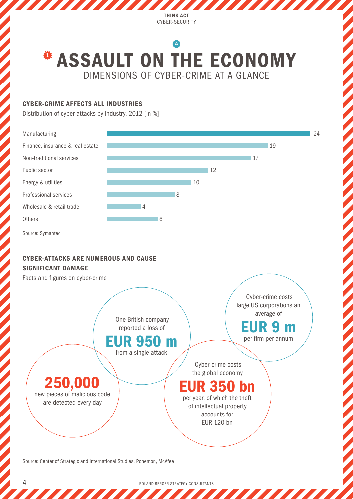# <span id="page-3-0"></span>DIMENSIONS OF CYBER-CRIME AT A GLANCE **\* ASSAULT ON THE ECONOMY** [A](#page-4-0)

#### CYBER-CRIME AFFECTS ALL INDUSTRIES

Distribution of cyber-attacks by industry, 2012 [in %]



Source: Center of Strategic and International Studies, Ponemon, McAfee

4 ROLAND BERGER STRATEGY CONSULTANTS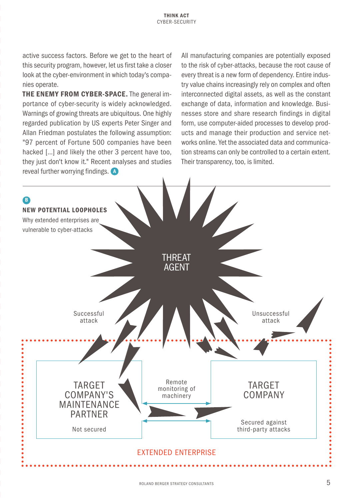<span id="page-4-0"></span>active success factors. Before we get to the heart of this security program, however, let us first take a closer look at the cyber-environment in which today's companies operate.

THE ENEMY FROM CYBER-SPACE. The general importance of cyber-security is widely acknowledged. Warnings of growing threats are ubiquitous. One highly regarded publication by US experts Peter Singer and Allan Friedman postulates the following assumption: "97 percent of Fortune 500 companies have been hacked [...] and likely the other 3 percent have too, they just don't know it." Recent analyses and studies reveal further worrying findings. [A](#page-3-0)

All manufacturing companies are potentially exposed to the risk of cyber-attacks, because the root cause of every threat is a new form of dependency. Entire industry value chains increasingly rely on complex and often interconnected digital assets, as well as the constant exchange of data, information and knowledge. Businesses store and share research findings in digital form, use computer-aided processes to develop products and manage their production and service networks online. Yet the associated data and communication streams can only be controlled to a certain extent. Their transparency, too, is limited.

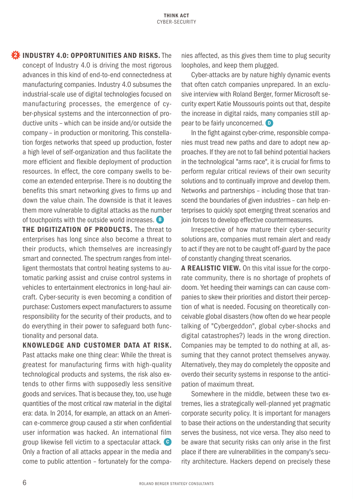<span id="page-5-0"></span>**[2](#page-1-0)** INDUSTRY 4.0: OPPORTUNITIES AND RISKS. The concept of Industry 4.0 is driving the most rigorous advances in this kind of end-to-end connectedness at manufacturing companies. Industry 4.0 subsumes the industrial-scale use of digital technologies focused on manufacturing processes, the emergence of cyber-physical systems and the interconnection of productive units – which can be inside and/or outside the company – in production or monitoring. This constellation forges networks that speed up production, foster a high level of self-organization and thus facilitate the more efficient and flexible deployment of production resources. In effect, the core company swells to become an extended enterprise. There is no doubting the benefits this smart networking gives to firms up and down the value chain. The downside is that it leaves them more vulnerable to digital attacks as the number of touchpoints with the outside world increases. [B](#page-4-0)

THE DIGITIZATION OF PRODUCTS. The threat to enterprises has long since also become a threat to their products, which themselves are increasingly smart and connected. The spectrum ranges from intelligent thermostats that control heating systems to automatic parking assist and cruise control systems in vehicles to entertainment electronics in long-haul aircraft. Cyber-security is even becoming a condition of purchase: Customers expect manufacturers to assume responsibility for the security of their products, and to do everything in their power to safeguard both functionality and personal data.

KNOWLEDGE AND CUSTOMER DATA AT RISK. Past attacks make one thing clear: While the threat is greatest for manufacturing firms with high-quality technological products and systems, the risk also extends to other firms with supposedly less sensitive goods and services. That is because they, too, use huge quantities of the most critical raw material in the digital era: data. In 2014, for example, an attack on an American e-commerce group caused a stir when confidential user information was hacked. An international film group likewise fell victim to a spectacular attack. [C](#page-6-0) Only a fraction of all attacks appear in the media and come to public attention – fortunately for the companies affected, as this gives them time to plug security loopholes, and keep them plugged.

Cyber-attacks are by nature highly dynamic events that often catch companies unprepared. In an exclusive interview with Roland Berger, former Microsoft security expert Katie Moussouris points out that, despite the increase in digital raids, many companies still appear to be fairly unconcerned.  $\bullet$ 

In the fight against cyber-crime, responsible companies must tread new paths and dare to adopt new approaches. If they are not to fall behind potential hackers in the technological "arms race", it is crucial for firms to perform regular critical reviews of their own security solutions and to continually improve and develop them. Networks and partnerships – including those that transcend the boundaries of given industries – can help enterprises to quickly spot emerging threat scenarios and join forces to develop effective countermeasures.

Irrespective of how mature their cyber-security solutions are, companies must remain alert and ready to act if they are not to be caught off-guard by the pace of constantly changing threat scenarios.

A REALISTIC VIEW. On this vital issue for the corporate community, there is no shortage of prophets of doom. Yet heeding their warnings can can cause companies to skew their priorities and distort their perception of what is needed. Focusing on theoretically conceivable global disasters (how often do we hear people talking of "Cybergeddon", global cyber-shocks and digital catastrophes?) leads in the wrong direction. Companies may be tempted to do nothing at all, assuming that they cannot protect themselves anyway. Alternatively, they may do completely the opposite and overdo their security systems in response to the anticipation of maximum threat.

Somewhere in the middle, between these two extremes, lies a strategically well-planned yet pragmatic corporate security policy. It is important for managers to base their actions on the understanding that security serves the business, not vice versa. They also need to be aware that security risks can only arise in the first place if there are vulnerabilities in the company's security architecture. Hackers depend on precisely these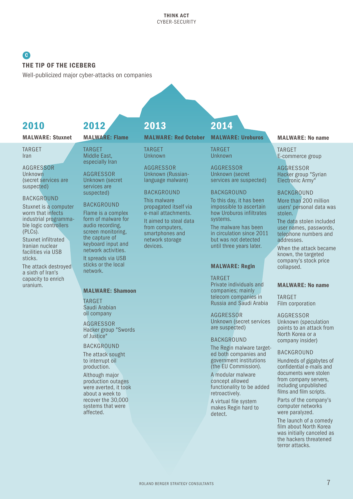### <span id="page-6-0"></span>**[C](#page-5-0)** THE TIP OF THE ICEBERG

Well-publicized major cyber-attacks on companies

## 2010

#### MALWARE: Stuxnet

TARGET Iran

AGGRESSOR Unknown (secret services are suspected)

#### BACKGROUND

Stuxnet is a computer worm that infects industrial programmable logic controllers (PLCs).

Stuxnet infiltrated Iranian nuclear facilities via USB sticks.

The attack destroyed a sixth of Iran's capacity to enrich uranium.

# 2012

#### MALWARE: Flame

TARGET Middle East, especially Iran

AGGRESSOR Unknown (secret services are suspected)

#### BACKGROUND

Flame is a complex form of malware for audio recording, screen monitoring, the capture of keyboard input and network activities.

It spreads via USB sticks or the local network.

#### MALWARE: Shamoon

TARGET Saudi Arabian oil company

AGGRESSOR Hacker group "Swords of Justice"

#### BACKGROUND

The attack sought to interrupt oil production.

Although major production outages were averted, it took about a week to recover the 30,000 systems that were affected.

# 2013

#### MALWARE: Red October MALWARE: Uroburos

TARGET Unknown

AGGRESSOR Unknown (Russianlanguage malware)

#### BACKGROUND

This malware propagated itself via e-mail attachments.

It aimed to steal data from computers, smartphones and network storage devices.

# 2014

TARGET Unknown

AGGRESSOR Unknown (secret services are suspected)

#### BACKGROUND

To this day, it has been impossible to ascertain how Uroburos infiltrates systems.

The malware has been in circulation since 2011 but was not detected until three years later.

#### MALWARE: Regin

TARGET Private individuals and companies; mainly telecom companies in Russia and Saudi Arabia

AGGRESSOR Unknown (secret services are suspected)

#### BACKGROUND

The Regin malware targeted both companies and government institutions (the EU Commission).

A modular malware concept allowed functionality to be added retroactively.

A virtual file system makes Regin hard to detect.

#### MALWARE: No name

TARGET E-commerce group

AGGRESSOR Hacker group "Syrian Electronic Army"

#### BACKGROUND

More than 200 million users' personal data was stolen.

The data stolen included user names, passwords, telephone numbers and addresses.

When the attack became known, the targeted company's stock price collapsed.

#### MALWARE: No name

TARGET Film corporation

AGGRESSOR Unknown (speculation points to an attack from North Korea or a company insider)

#### BACKGROUND

Hundreds of gigabytes of confidential e-mails and documents were stolen from company servers, including unpublished films and film scripts.

Parts of the company's computer networks were paralyzed.

The launch of a comedy film about North Korea was initially canceled as the hackers threatened terror attacks.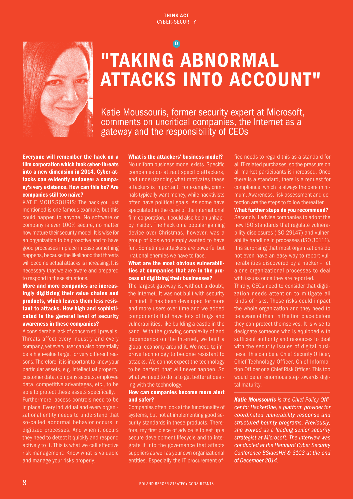<span id="page-7-0"></span>

# "TAKING ABNORMAL ATTACKS INTO ACCOUNT" [D](#page-5-0)

Katie Moussouris, former security expert at Microsoft, comments on uncritical companies, the Internet as a gateway and the responsibility of CEOs

Everyone will remember the hack on a film corporation which took cyber-threats into a new dimension in 2014. Cyber-attacks can evidently endanger a company's very existence. How can this be? Are companies still too naive?

KATIE MOUSSOURIS: The hack you just mentioned is one famous example, but this could happen to anyone. No software or company is ever 100% secure, no matter how mature their security model. It is wise for an organization to be proactive and to have good processes in place in case something happens, because the likelihood that threats will become actual attacks is increasing. It is necessary that we are aware and prepared to respond in these situations.

#### More and more companies are increasingly digitizing their value chains and products, which leaves them less resistant to attacks. How high and sophisticated is the general level of security awareness in these companies?

A considerable lack of concern still prevails. Threats affect every industry and every company, yet every user can also potentially be a high-value target for very different reasons. Therefore, it is important to know your particular assets, e.g. intellectual property, customer data, company secrets, employee data, competitive advantages, etc., to be able to protect these assets specifically. Furthermore, access controls need to be in place. Every individual and every organizational entity needs to understand that so-called abnormal behavior occurs in digitized processes. And when it occurs they need to detect it quickly and respond actively to it. This is what we call effective risk management: Know what is valuable and manage your risks properly.

What is the attackers' business model? No uniform business model exists. Specific companies do attract specific attackers, and understanding what motivates these attackers is important. For example, criminals typically want money, while hacktivists often have political goals. As some have speculated in the case of the international film corporation, it could also be an unhappy insider. The hack on a popular gaming device over Christmas, however, was a group of kids who simply wanted to have fun. Sometimes attackers are powerful but irrational enemies we have to face.

#### What are the most obvious vulnerabilities at companies that are in the process of digitizing their businesses?

The largest gateway is, without a doubt, the Internet. It was not built with security in mind. It has been developed for more and more users over time and we added components that have lots of bugs and vulnerabilities, like building a castle in the sand. With the growing complexity of and dependence on the Internet, we built a global economy around it. We need to improve technology to become resistant to attacks. We cannot expect the technology to be perfect; that will never happen. So what we need to do is to get better at dealing with the technology.

#### How can companies become more alert and safer?

Companies often look at the functionality of systems, but not at implementing good security standards in these products. Therefore, my first piece of advice is to set up a secure development lifecycle and to integrate it into the governance that affects suppliers as well as your own organizational entities. Especially the IT procurement office needs to regard this as a standard for all IT-related purchases, so the pressure on all market participants is increased. Once there is a standard, there is a request for compliance, which is always the bare minimum. Awareness, risk assessment and detection are the steps to follow thereafter.

#### What further steps do you recommend?

Secondly, I advise companies to adopt the new ISO standards that regulate vulnerability disclosures (ISO 29147) and vulnerability handling in processes (ISO 30111). It is surprising that most organizations do not even have an easy way to report vulnerabilities discovered by a hacker – let alone organizational processes to deal with issues once they are reported.

Thirdly, CEOs need to consider that digitization needs attention to mitigate all kinds of risks. These risks could impact the whole organization and they need to be aware of them in the first place before they can protect themselves. It is wise to designate someone who is equipped with sufficient authority and resources to deal with the security issues of digital business. This can be a Chief Security Officer, Chief Technology Officer, Chief Information Officer or a Chief Risk Officer. This too would be an enormous step towards digital maturity.

*Katie Moussouris is the Chief Policy Officer for HackerOne, a platform provider for coordinated vulnerability response and structured bounty programs. Previously, she worked as a leading senior security strategist at Microsoft. The interview was conducted at the Hamburg Cyber Security Conference BSidesHH & 31C3 at the end of December 2014.*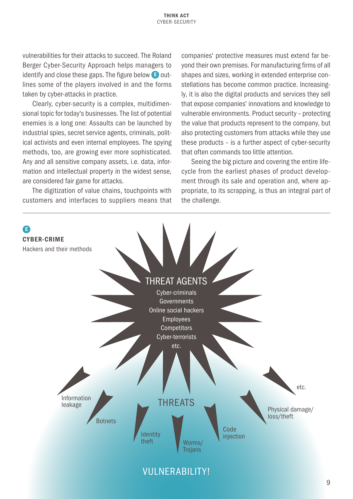vulnerabilities for their attacks to succeed. The Roland Berger Cyber-Security Approach helps managers to identify and close these gaps. The figure below **E** outlines some of the players involved in and the forms taken by cyber-attacks in practice.

Clearly, cyber-security is a complex, multidimensional topic for today's businesses. The list of potential enemies is a long one: Assaults can be launched by industrial spies, secret service agents, criminals, political activists and even internal employees. The spying methods, too, are growing ever more sophisticated. Any and all sensitive company assets, i.e. data, information and intellectual property in the widest sense, are considered fair game for attacks.

The digitization of value chains, touchpoints with customers and interfaces to suppliers means that companies' protective measures must extend far beyond their own premises. For manufacturing firms of all shapes and sizes, working in extended enterprise constellations has become common practice. Increasingly, it is also the digital products and services they sell that expose companies' innovations and knowledge to vulnerable environments. Product security – protecting the value that products represent to the company, but also protecting customers from attacks while they use these products – is a further aspect of cyber-security that often commands too little attention.

Seeing the big picture and covering the entire lifecycle from the earliest phases of product development through its sale and operation and, where appropriate, to its scrapping, is thus an integral part of the challenge.

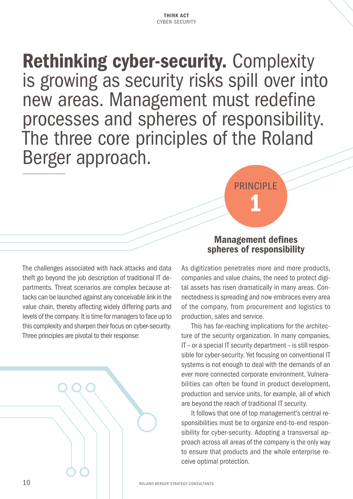Rethinking cyber-security. Complexity is growing as security risks spill over into new areas. Management must redefine processes and spheres of responsibility. The three core principles of the Roland Berger approach.

The challenges associated with hack attacks and data theft go beyond the job description of traditional IT departments. Threat scenarios are complex because attacks can be launched against any conceivable link in the value chain, thereby affecting widely differing parts and levels of the company. It is time for managers to face up to this complexity and sharpen their focus on cyber-security. Three principles are pivotal to their response:



## Management defines spheres of responsibility

PRINCIPI F

1

As digitization penetrates more and more products, companies and value chains, the need to protect digital assets has risen dramatically in many areas. Connectedness is spreading and now embraces every area of the company, from procurement and logistics to production, sales and service.

This has far-reaching implications for the architecture of the security organization. In many companies, IT – or a special IT security department – is still responsible for cyber-security. Yet focusing on conventional IT systems is not enough to deal with the demands of an ever more connected corporate environment. Vulnerabilities can often be found in product development, production and service units, for example, all of which are beyond the reach of traditional IT security.

It follows that one of top management's central responsibilities must be to organize end-to-end responsibility for cyber-security. Adopting a transversal approach across all areas of the company is the only way to ensure that products and the whole enterprise receive optimal protection.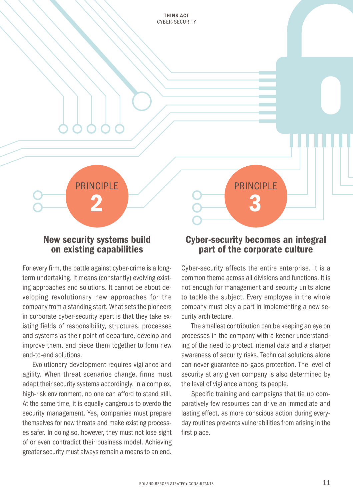New security systems build on existing capabilities

PRINCIPI F

2

For every firm, the battle against cyber-crime is a longterm undertaking. It means (constantly) evolving existing approaches and solutions. It cannot be about developing revolutionary new approaches for the company from a standing start. What sets the pioneers in corporate cyber-security apart is that they take existing fields of responsibility, structures, processes and systems as their point of departure, develop and improve them, and piece them together to form new end-to-end solutions.

Evolutionary development requires vigilance and agility. When threat scenarios change, firms must adapt their security systems accordingly. In a complex, high-risk environment, no one can afford to stand still. At the same time, it is equally dangerous to overdo the security management. Yes, companies must prepare themselves for new threats and make existing processes safer. In doing so, however, they must not lose sight of or even contradict their business model. Achieving greater security must always remain a means to an end.

### Cyber-security becomes an integral part of the corporate culture

PRINCIPI F

3

Cyber-security affects the entire enterprise. It is a common theme across all divisions and functions. It is not enough for management and security units alone to tackle the subject. Every employee in the whole company must play a part in implementing a new security architecture.

The smallest contribution can be keeping an eye on processes in the company with a keener understanding of the need to protect internal data and a sharper awareness of security risks. Technical solutions alone can never guarantee no-gaps protection. The level of security at any given company is also determined by the level of vigilance among its people.

Specific training and campaigns that tie up comparatively few resources can drive an immediate and lasting effect, as more conscious action during everyday routines prevents vulnerabilities from arising in the first place.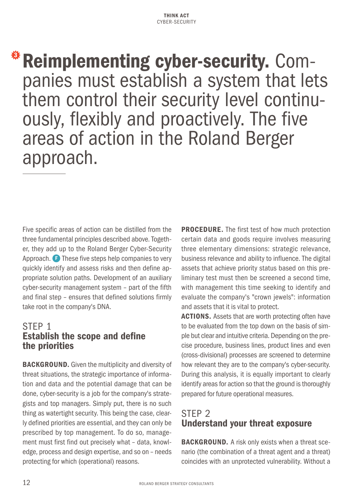<span id="page-11-0"></span>Reimplementing cyber-security. Com-<br>panies must establish a system that lets them control their security level continu- ously, flexibly and proactively. The five areas of action in the Roland Berger approach.

Five specific areas of action can be distilled from the three fundamental principles described above. Together, they add up to the Roland Berger Cyber-Security Approach. [F](#page-12-0) These five steps help companies to very quickly identify and assess risks and then define appropriate solution paths. Development of an auxiliary cyber-security management system – part of the fifth and final step – ensures that defined solutions firmly take root in the company's DNA.

# STEP 1 Establish the scope and define the priorities

BACKGROUND. Given the multiplicity and diversity of threat situations, the strategic importance of information and data and the potential damage that can be done, cyber-security is a job for the company's strategists and top managers. Simply put, there is no such thing as watertight security. This being the case, clearly defined priorities are essential, and they can only be prescribed by top management. To do so, management must first find out precisely what – data, knowledge, process and design expertise, and so on – needs protecting for which (operational) reasons.

PROCEDURE. The first test of how much protection certain data and goods require involves measuring three elementary dimensions: strategic relevance, business relevance and ability to influence. The digital assets that achieve priority status based on this preliminary test must then be screened a second time, with management this time seeking to identify and evaluate the company's "crown jewels": information and assets that it is vital to protect.

ACTIONS. Assets that are worth protecting often have to be evaluated from the top down on the basis of simple but clear and intuitive criteria. Depending on the precise procedure, business lines, product lines and even (cross-divisional) processes are screened to determine how relevant they are to the company's cyber-security. During this analysis, it is equally important to clearly identify areas for action so that the ground is thoroughly prepared for future operational measures.

# STEP 2 Understand your threat exposure

**BACKGROUND.** A risk only exists when a threat scenario (the combination of a threat agent and a threat) coincides with an unprotected vulnerability. Without a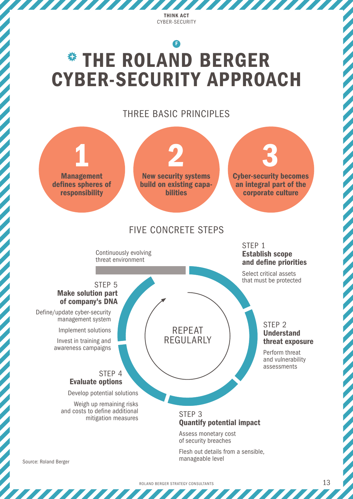,,,,,,,,,,,,,

777 777 77

# <span id="page-12-0"></span>**\* THE ROLAND BERGER** CYBER-SECURITY APPROACH [F](#page-11-0)

THREE BASIC PRINCIPLES

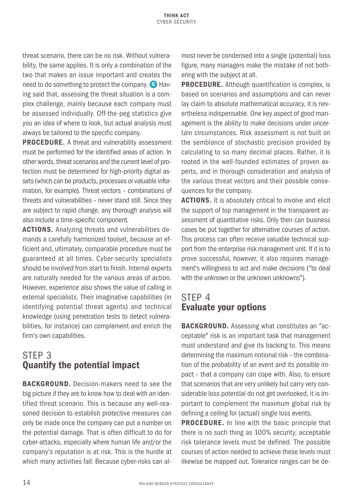<span id="page-13-0"></span>threat scenario, there can be no risk. Without vulnerability, the same applies. It is only a combination of the two that makes an issue important and creates the need to do something to protect the company. [G](#page-14-0) Having said that, assessing the threat situation is a complex challenge, mainly because each company must be assessed individually. Off-the-peg statistics give you an idea of where to look, but actual analysis must always be tailored to the specific company.

PROCEDURE. A threat and vulnerability assessment must be performed for the identified areas of action. In other words, threat scenarios and the current level of protection must be determined for high-priority digital assets (which can be products, processes or valuable information, for example). Threat vectors – combinations of threats and vulnerabilities – never stand still. Since they are subject to rapid change, any thorough analysis will also include a time-specific component.

ACTIONS. Analyzing threats and vulnerabilities demands a carefully harmonized toolset, because an efficient and, ultimately, comparable procedure must be guaranteed at all times. Cyber-security specialists should be involved from start to finish. Internal experts are naturally needed for the various areas of action. However, experience also shows the value of calling in external specialists. Their imaginative capabilities (in identifying potential threat agents) and technical knowledge (using penetration tests to detect vulnerabilities, for instance) can complement and enrich the firm's own capabilities.

# STEP 3 Quantify the potential impact

BACKGROUND. Decision-makers need to see the big picture if they are to know how to deal with an identified threat scenario. This is because any well-reasoned decision to establish protective measures can only be made once the company can put a number on the potential damage. That is often difficult to do for cyber-attacks, especially where human life and/or the company's reputation is at risk. This is the hurdle at which many activities fall: Because cyber-risks can almost never be condensed into a single (potential) loss figure, many managers make the mistake of not bothering with the subject at all.

**PROCEDURE.** Although quantification is complex, is based on scenarios and assumptions and can never lay claim to absolute mathematical accuracy, it is nevertheless indispensable. One key aspect of good management is the ability to make decisions under uncertain circumstances. Risk assessment is not built on the semblance of stochastic precision provided by calculating to so many decimal places. Rather, it is rooted in the well-founded estimates of proven experts, and in thorough consideration and analysis of the various threat vectors and their possible consequences for the company.

ACTIONS. It is absolutely critical to involve and elicit the support of top management in the transparent assessment of quantitative risks. Only then can business cases be put together for alternative courses of action. This process can often receive valuable technical support from the enterprise risk management unit. If it is to prove successful, however, it also requires management's willingness to act and make decisions ("to deal with the unknown or the unknown unknowns").

# STEP 4 Evaluate your options

BACKGROUND. Assessing what constitutes an "acceptable" risk is an important task that management must understand and give its backing to. This means determining the maximum notional risk – the combination of the probability of an event and its possible impact – that a company can cope with. Also, to ensure that scenarios that are very unlikely but carry very considerable loss potential do not get overlooked, it is important to complement the maximum global risk by defining a ceiling for (actual) single loss events.

**PROCEDURE.** In line with the basic principle that there is no such thing as 100% security, acceptable risk tolerance levels must be defined. The possible courses of action needed to achieve these levels must likewise be mapped out. Tolerance ranges can be de-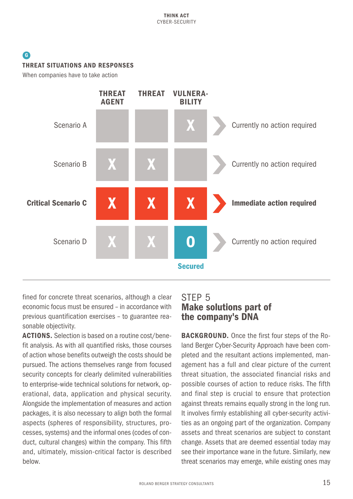## <span id="page-14-0"></span>[G](#page-13-0) THREAT SITUATIONS AND RESPONSES

When companies have to take action



fined for concrete threat scenarios, although a clear economic focus must be ensured – in accordance with previous quantification exercises – to guarantee reasonable objectivity.

ACTIONS. Selection is based on a routine cost/benefit analysis. As with all quantified risks, those courses of action whose benefits outweigh the costs should be pursued. The actions themselves range from focused security concepts for clearly delimited vulnerabilities to enterprise-wide technical solutions for network, operational, data, application and physical security. Alongside the implementation of measures and action packages, it is also necessary to align both the formal aspects (spheres of responsibility, structures, processes, systems) and the informal ones (codes of conduct, cultural changes) within the company. This fifth and, ultimately, mission-critical factor is described below.

# STEP 5 Make solutions part of the company's DNA

BACKGROUND. Once the first four steps of the Roland Berger Cyber-Security Approach have been completed and the resultant actions implemented, management has a full and clear picture of the current threat situation, the associated financial risks and possible courses of action to reduce risks. The fifth and final step is crucial to ensure that protection against threats remains equally strong in the long run. It involves firmly establishing all cyber-security activities as an ongoing part of the organization. Company assets and threat scenarios are subject to constant change. Assets that are deemed essential today may see their importance wane in the future. Similarly, new threat scenarios may emerge, while existing ones may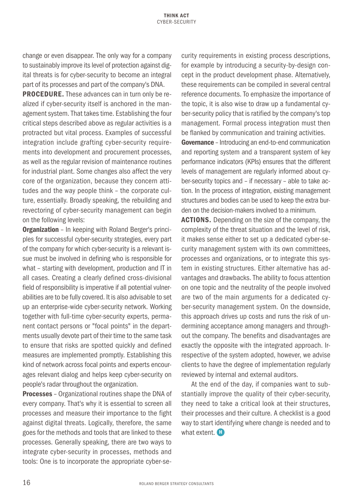<span id="page-15-0"></span>change or even disappear. The only way for a company to sustainably improve its level of protection against digital threats is for cyber-security to become an integral part of its processes and part of the company's DNA.

PROCEDURE. These advances can in turn only be realized if cyber-security itself is anchored in the management system. That takes time. Establishing the four critical steps described above as regular activities is a protracted but vital process. Examples of successful integration include grafting cyber-security requirements into development and procurement processes, as well as the regular revision of maintenance routines for industrial plant. Some changes also affect the very core of the organization, because they concern attitudes and the way people think – the corporate culture, essentially. Broadly speaking, the rebuilding and revectoring of cyber-security management can begin on the following levels:

**Organization** - In keeping with Roland Berger's principles for successful cyber-security strategies, every part of the company for which cyber-security is a relevant issue must be involved in defining who is responsible for what – starting with development, production and IT in all cases. Creating a clearly defined cross-divisional field of responsibility is imperative if all potential vulnerabilities are to be fully covered. It is also advisable to set up an enterprise-wide cyber-security network. Working together with full-time cyber-security experts, permanent contact persons or "focal points" in the departments usually devote part of their time to the same task to ensure that risks are spotted quickly and defined measures are implemented promptly. Establishing this kind of network across focal points and experts encourages relevant dialog and helps keep cyber-security on people's radar throughout the organization.

Processes – Organizational routines shape the DNA of every company. That's why it is essential to screen all processes and measure their importance to the fight against digital threats. Logically, therefore, the same goes for the methods and tools that are linked to these processes. Generally speaking, there are two ways to integrate cyber-security in processes, methods and tools: One is to incorporate the appropriate cyber-security requirements in existing process descriptions, for example by introducing a security-by-design concept in the product development phase. Alternatively, these requirements can be compiled in several central reference documents. To emphasize the importance of the topic, it is also wise to draw up a fundamental cyber-security policy that is ratified by the company's top management. Formal process integration must then be flanked by communication and training activities.

Governance – Introducing an end-to-end communication and reporting system and a transparent system of key performance indicators (KPIs) ensures that the different levels of management are regularly informed about cyber-security topics and – if necessary – able to take action. In the process of integration, existing management structures and bodies can be used to keep the extra burden on the decision-makers involved to a minimum.

**ACTIONS.** Depending on the size of the company, the complexity of the threat situation and the level of risk, it makes sense either to set up a dedicated cyber-security management system with its own committees, processes and organizations, or to integrate this system in existing structures. Either alternative has advantages and drawbacks. The ability to focus attention on one topic and the neutrality of the people involved are two of the main arguments for a dedicated cyber-security management system. On the downside, this approach drives up costs and runs the risk of undermining acceptance among managers and throughout the company. The benefits and disadvantages are exactly the opposite with the integrated approach. Irrespective of the system adopted, however, we advise clients to have the degree of implementation regularly reviewed by internal and external auditors.

At the end of the day, if companies want to substantially improve the quality of their cyber-security, they need to take a critical look at their structures, their processes and their culture. A checklist is a good way to start identifying where change is needed and to what extent.  $\mathbf{H}$  $\mathbf{H}$  $\mathbf{H}$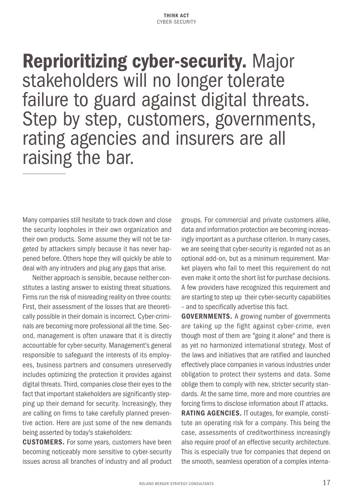Reprioritizing cyber-security. Major stakeholders will no longer tolerate failure to guard against digital threats. Step by step, customers, governments, rating agencies and insurers are all raising the bar.

Many companies still hesitate to track down and close the security loopholes in their own organization and their own products. Some assume they will not be targeted by attackers simply because it has never happened before. Others hope they will quickly be able to deal with any intruders and plug any gaps that arise.

Neither approach is sensible, because neither constitutes a lasting answer to existing threat situations. Firms run the risk of misreading reality on three counts: First, their assessment of the losses that are theoretically possible in their domain is incorrect. Cyber-criminals are becoming more professional all the time. Second, management is often unaware that it is directly accountable for cyber-security. Management's general responsible to safeguard the interests of its employees, business partners and consumers unreservedly includes optimizing the protection it provides against digital threats. Third, companies close their eyes to the fact that important stakeholders are significantly stepping up their demand for security. Increasingly, they are calling on firms to take carefully planned preventive action. Here are just some of the new demands being asserted by today's stakeholders:

CUSTOMERS. For some years, customers have been becoming noticeably more sensitive to cyber-security issues across all branches of industry and all product groups. For commercial and private customers alike, data and information protection are becoming increasingly important as a purchase criterion. In many cases, we are seeing that cyber-security is regarded not as an optional add-on, but as a minimum requirement. Market players who fail to meet this requirement do not even make it onto the short list for purchase decisions. A few providers have recognized this requirement and are starting to step up their cyber-security capabilities – and to specifically advertise this fact.

GOVERNMENTS. A growing number of governments are taking up the fight against cyber-crime, even though most of them are "going it alone" and there is as yet no harmonized international strategy. Most of the laws and initiatives that are ratified and launched effectively place companies in various industries under obligation to protect their systems and data. Some oblige them to comply with new, stricter security standards. At the same time, more and more countries are forcing firms to disclose information about IT attacks.

RATING AGENCIES. IT outages, for example, constitute an operating risk for a company. This being the case, assessments of creditworthiness increasingly also require proof of an effective security architecture. This is especially true for companies that depend on the smooth, seamless operation of a complex interna-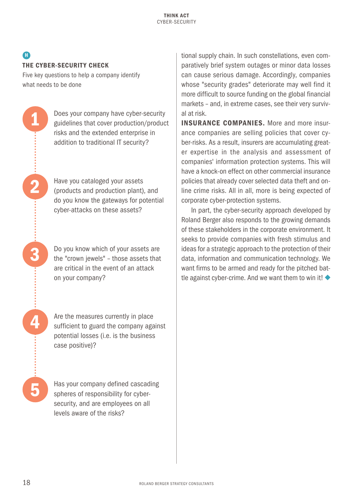### <span id="page-17-0"></span> $\bf G$ THE CYBER-SECURITY CHECK

1

2

3

4

5

Five key questions to help a company identify what needs to be done

> Does your company have cyber-security guidelines that cover production/product risks and the extended enterprise in addition to traditional IT security?

Have you cataloged your assets (products and production plant), and do you know the gateways for potential cyber-attacks on these assets?

Do you know which of your assets are the "crown jewels" – those assets that are critical in the event of an attack on your company?

Are the measures currently in place sufficient to guard the company against potential losses (i.e. is the business case positive)?

Has your company defined cascading spheres of responsibility for cybersecurity, and are employees on all levels aware of the risks?

tional supply chain. In such constellations, even comparatively brief system outages or minor data losses can cause serious damage. Accordingly, companies whose "security grades" deteriorate may well find it more difficult to source funding on the global financial markets – and, in extreme cases, see their very survival at risk.

INSURANCE COMPANIES. More and more insurance companies are selling policies that cover cyber-risks. As a result, insurers are accumulating greater expertise in the analysis and assessment of companies' information protection systems. This will have a knock-on effect on other commercial insurance policies that already cover selected data theft and online crime risks. All in all, more is being expected of corporate cyber-protection systems.

In part, the cyber-security approach developed by Roland Berger also responds to the growing demands of these stakeholders in the corporate environment. It seeks to provide companies with fresh stimulus and ideas for a strategic approach to the protection of their data, information and communication technology. We want firms to be armed and ready for the pitched battle against cyber-crime. And we want them to win it!  $\blacklozenge$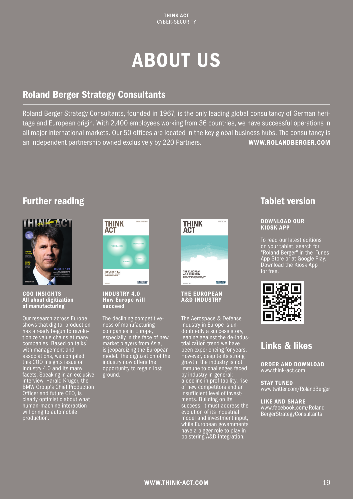# ABOUT US

# Roland Berger Strategy Consultants

Roland Berger Strategy Consultants, founded in 1967, is the only leading global consultancy of German heritage and European origin. With 2,400 employees working from 36 countries, we have successful operations in all major international markets. Our 50 offices are located in the key global business hubs. The consultancy is an independent partnership owned exclusively by 220 Partners. [WWW.ROLANDBERGER.COM](http://www.rolandberger.com)

# Further reading



COO INSIGHTS All about digitization of manufacturing

Our research across Europe shows that digital production has already begun to revolutionize value chains at many companies. Based on talks with management and associations, we compiled this COO Insights issue on Industry 4.0 and its many facets. Speaking in an exclusive interview, Harald Krüger, the BMW Group's Chief Production Officer and future CEO, is clearly optimistic about what human-machine interaction will bring to automobile production.



INDUSTRY 4.0 How Europe will succeed

The declining competitiveness of manufacturing companies in Europe, especially in the face of new market players from Asia, is jeopardizing the European model. The digitization of the industry now offers the opportunity to regain lost ground.



THE EUROPEAN A&D INDUSTRY

The Aerospace & Defense Industry in Europe is undoubtedly a success story, leaning against the de-industrialization trend we have been experiencing for years. However, despite its strong growth, the industry is not immune to challenges faced by industry in general: a decline in profitability, rise of new competitors and an insufficient level of investments. Building on its success, it must address the evolution of its industrial model and investment input, while European governments have a bigger role to play in bolstering A&D integration.

# Tablet version

#### DOWNLOAD OUR KIOSK APP

To read our latest editions on your tablet, search for "Roland Berger" in the iTunes App Store or at Google Play. Download the Kiosk App for free.



# Links & likes

ORDER AND DOWNLOAD [www.think-act.com](http://www.think-act.com)

STAY TUNED [www.twitter.com/RolandBerger](http://www.twitter.com/RolandBerger)

LIKE AND SHARE [www.facebook.com/Roland](http://www.facebook.com/RolandBergerStrategyConsultants) [BergerStrategyConsultants](http://www.facebook.com/RolandBergerStrategyConsultants)